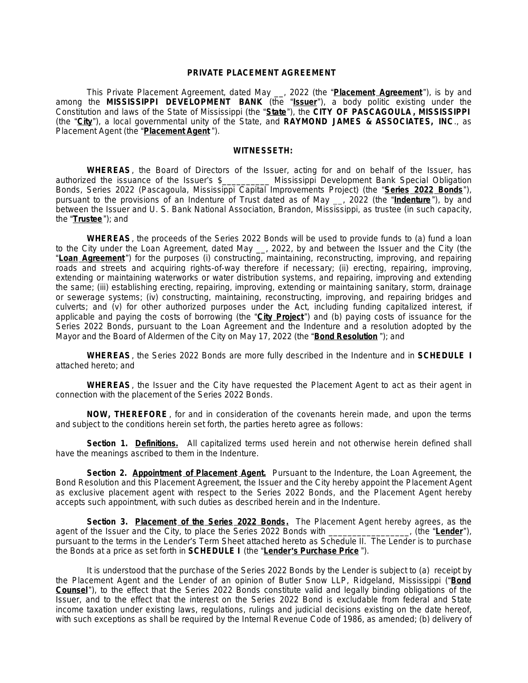### **PRIVATE PLACEMENT AGREEMENT**

This Private Placement Agreement, dated May \_\_, 2022 (the "**Placement Agreement** "), is by and among the **MISSISSIPPI DEVELOPMENT BANK** (the "**Issuer**"), a body politic existing under the Constitution and laws of the State of Mississippi (the "**State**"), the **CITY OF PASCAGOULA , MISSISSIPPI** (the "**City**"), a local governmental unity of the State, and **RAYMOND JAMES & ASSOCIATES, INC**., as Placement Agent (the "**Placement Agent** ").

### **WITNESSETH:**

**WHEREAS**, the Board of Directors of the Issuer, acting for and on behalf of the Issuer, has authorized the issuance of the Issuer's \$\_\_\_\_\_\_\_\_\_\_ Mississippi Development Bank Special Obligation Bonds, Series 2022 (Pascagoula, Mississippi Capital Improvements Project) (the "**Series 2022 Bonds**"), pursuant to the provisions of an Indenture of Trust dated as of May \_\_, 2022 (the "**Indenture** "), by and between the Issuer and U. S. Bank National Association, Brandon, Mississippi, as trustee (in such capacity, the "**Trustee**"); and

**WHEREAS**, the proceeds of the Series 2022 Bonds will be used to provide funds to (a) fund a loan to the City under the Loan Agreement, dated May \_\_, 2022, by and between the Issuer and the City (the "**Loan Agreement** ") for the purposes (i) constructing, maintaining, reconstructing, improving, and repairing roads and streets and acquiring rights-of-way therefore if necessary; (ii) erecting, repairing, improving, extending or maintaining waterworks or water distribution systems, and repairing, improving and extending the same; (iii) establishing erecting, repairing, improving, extending or maintaining sanitary, storm, drainage or sewerage systems; (iv) constructing, maintaining, reconstructing, improving, and repairing bridges and culverts; and (v) for other authorized purposes under the Act, including funding capitalized interest, if applicable and paying the costs of borrowing (the "**City Project**") and (b) paying costs of issuance for the Series 2022 Bonds, pursuant to the Loan Agreement and the Indenture and a resolution adopted by the Mayor and the Board of Aldermen of the City on May 17, 2022 (the "**Bond Resolution** "); and

**WHEREAS**, the Series 2022 Bonds are more fully described in the Indenture and in **SCHEDULE I** attached hereto; and

**WHEREAS**, the Issuer and the City have requested the Placement Agent to act as their agent in connection with the placement of the Series 2022 Bonds.

**NOW, THEREFORE** , for and in consideration of the covenants herein made, and upon the terms and subject to the conditions herein set forth, the parties hereto agree as follows:

**Section 1. Definitions.** All capitalized terms used herein and not otherwise herein defined shall have the meanings ascribed to them in the Indenture.

**Section 2. Appointment of Placement Agent.** Pursuant to the Indenture, the Loan Agreement, the Bond Resolution and this Placement Agreement, the Issuer and the City hereby appoint the Placement Agent as exclusive placement agent with respect to the Series 2022 Bonds, and the Placement Agent hereby accepts such appointment, with such duties as described herein and in the Indenture.

**Section 3. Placement of the Series 2022 Bonds.** The Placement Agent hereby agrees, as the agent of the Issuer and the City, to place the Series 2022 Bonds with \_\_\_\_\_\_\_\_\_\_\_\_\_\_\_\_\_, (the "**Lender**"), pursuant to the terms in the Lender's Term Sheet attached hereto as Schedule II. The Lender is to purchase the Bonds at a price as set forth in **SCHEDULE I** (the "**Lender**'**s Purchase Price** ").

It is understood that the purchase of the Series 2022 Bonds by the Lender is subject to (a) receipt by the Placement Agent and the Lender of an opinion of Butler Snow LLP, Ridgeland, Mississippi ("**Bond Counsel**"), to the effect that the Series 2022 Bonds constitute valid and legally binding obligations of the Issuer, and to the effect that the interest on the Series 2022 Bond is excludable from federal and State income taxation under existing laws, regulations, rulings and judicial decisions existing on the date hereof, with such exceptions as shall be required by the Internal Revenue Code of 1986, as amended; (b) delivery of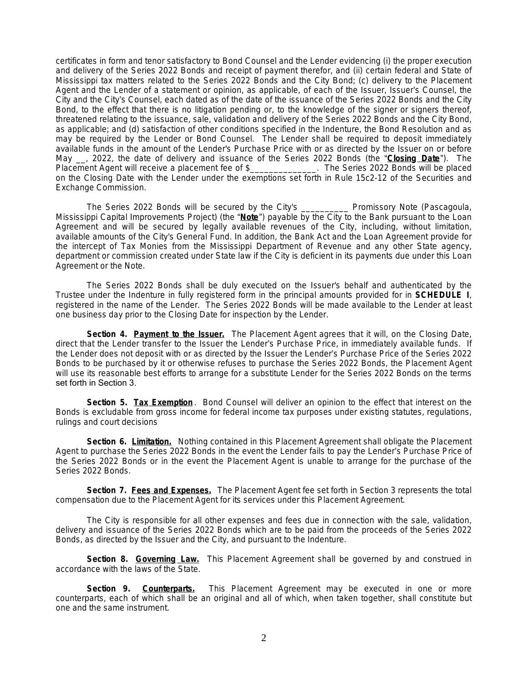certificates in form and tenor satisfactory to Bond Counsel and the Lender evidencing (i) the proper execution and delivery of the Series 2022 Bonds and receipt of payment therefor, and (ii) certain federal and State of Mississippi tax matters related to the Series 2022 Bonds and the City Bond; (c) delivery to the Placement Agent and the Lender of a statement or opinion, as applicable, of each of the Issuer, Issuer's Counsel, the City and the City's Counsel, each dated as of the date of the issuance of the Series 2022 Bonds and the City Bond, to the effect that there is no litigation pending or, to the knowledge of the signer or signers thereof, threatened relating to the issuance, sale, validation and delivery of the Series 2022 Bonds and the City Bond, as applicable; and (d) satisfaction of other conditions specified in the Indenture, the Bond Resolution and as may be required by the Lender or Bond Counsel. The Lender shall be required to deposit immediately available funds in the amount of the Lender's Purchase Price with or as directed by the Issuer on or before May \_\_, 2022, the date of delivery and issuance of the Series 2022 Bonds (the "**Closing Date**"). The Placement Agent will receive a placement fee of \$\_\_\_\_\_\_\_\_\_\_\_\_\_\_. The Series 2022 Bonds will be placed on the Closing Date with the Lender under the exemptions set forth in Rule 15c2-12 of the Securities and Exchange Commission.

The Series 2022 Bonds will be secured by the City's \_\_\_\_\_\_\_\_\_\_ Promissory Note (Pascagoula, Mississippi Capital Improvements Project) (the "**Note**") payable by the City to the Bank pursuant to the Loan Agreement and will be secured by legally available revenues of the City, including, without limitation, available amounts of the City's General Fund. In addition, the Bank Act and the Loan Agreement provide for the intercept of Tax Monies from the Mississippi Department of Revenue and any other State agency, department or commission created under State law if the City is deficient in its payments due under this Loan Agreement or the Note.

The Series 2022 Bonds shall be duly executed on the Issuer's behalf and authenticated by the Trustee under the Indenture in fully registered form in the principal amounts provided for in **SCHEDULE I**, registered in the name of the Lender. The Series 2022 Bonds will be made available to the Lender at least one business day prior to the Closing Date for inspection by the Lender.

**Section 4. Payment to the Issuer.** The Placement Agent agrees that it will, on the Closing Date, direct that the Lender transfer to the Issuer the Lender's Purchase Price, in immediately available funds. If the Lender does not deposit with or as directed by the Issuer the Lender's Purchase Price of the Series 2022 Bonds to be purchased by it or otherwise refuses to purchase the Series 2022 Bonds, the Placement Agent will use its reasonable best efforts to arrange for a substitute Lender for the Series 2022 Bonds on the terms set forth in Section 3.

**Section 5. Tax Exemption** . Bond Counsel will deliver an opinion to the effect that interest on the Bonds is excludable from gross income for federal income tax purposes under existing statutes, regulations, rulings and court decisions

**Section 6. Limitation.** Nothing contained in this Placement Agreement shall obligate the Placement Agent to purchase the Series 2022 Bonds in the event the Lender fails to pay the Lender's Purchase Price of the Series 2022 Bonds or in the event the Placement Agent is unable to arrange for the purchase of the Series 2022 Bonds.

**Section 7. Fees and Expenses.** The Placement Agent fee set forth in Section 3 represents the total compensation due to the Placement Agent for its services under this Placement Agreement.

The City is responsible for all other expenses and fees due in connection with the sale, validation, delivery and issuance of the Series 2022 Bonds which are to be paid from the proceeds of the Series 2022 Bonds, as directed by the Issuer and the City, and pursuant to the Indenture.

**Section 8. Governing Law.** This Placement Agreement shall be governed by and construed in accordance with the laws of the State.

**Section 9. Counterparts.** This Placement Agreement may be executed in one or more counterparts, each of which shall be an original and all of which, when taken together, shall constitute but one and the same instrument.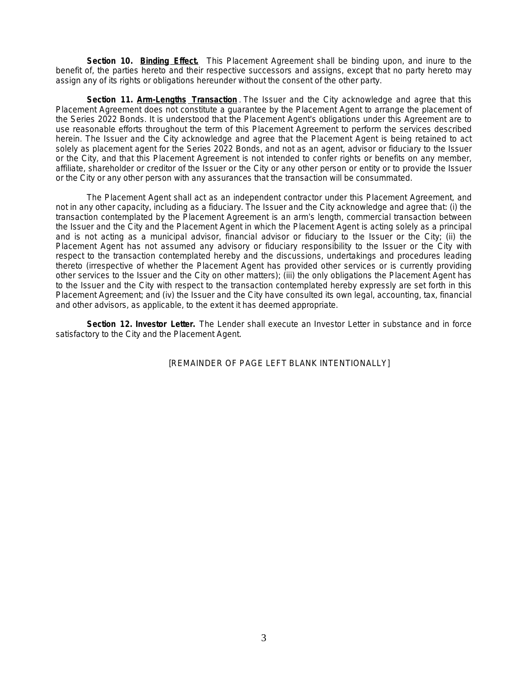**Section 10. Binding Effect.** This Placement Agreement shall be binding upon, and inure to the benefit of, the parties hereto and their respective successors and assigns, except that no party hereto may assign any of its rights or obligations hereunder without the consent of the other party.

**Section 11. Arm-Lengths Transaction** . The Issuer and the City acknowledge and agree that this Placement Agreement does not constitute a guarantee by the Placement Agent to arrange the placement of the Series 2022 Bonds. It is understood that the Placement Agent's obligations under this Agreement are to use reasonable efforts throughout the term of this Placement Agreement to perform the services described herein. The Issuer and the City acknowledge and agree that the Placement Agent is being retained to act solely as placement agent for the Series 2022 Bonds, and not as an agent, advisor or fiduciary to the Issuer or the City, and that this Placement Agreement is not intended to confer rights or benefits on any member, affiliate, shareholder or creditor of the Issuer or the City or any other person or entity or to provide the Issuer or the City or any other person with any assurances that the transaction will be consummated.

The Placement Agent shall act as an independent contractor under this Placement Agreement, and not in any other capacity, including as a fiduciary. The Issuer and the City acknowledge and agree that: (i) the transaction contemplated by the Placement Agreement is an arm's length, commercial transaction between the Issuer and the City and the Placement Agent in which the Placement Agent is acting solely as a principal and is not acting as a municipal advisor, financial advisor or fiduciary to the Issuer or the City; (ii) the Placement Agent has not assumed any advisory or fiduciary responsibility to the Issuer or the City with respect to the transaction contemplated hereby and the discussions, undertakings and procedures leading thereto (irrespective of whether the Placement Agent has provided other services or is currently providing other services to the Issuer and the City on other matters); (iii) the only obligations the Placement Agent has to the Issuer and the City with respect to the transaction contemplated hereby expressly are set forth in this Placement Agreement; and (iv) the Issuer and the City have consulted its own legal, accounting, tax, financial and other advisors, as applicable, to the extent it has deemed appropriate.

**Section 12. Investor Letter.** The Lender shall execute an Investor Letter in substance and in force satisfactory to the City and the Placement Agent*.*

[REMAINDER OF PAGE LEFT BLANK INTENTIONALLY]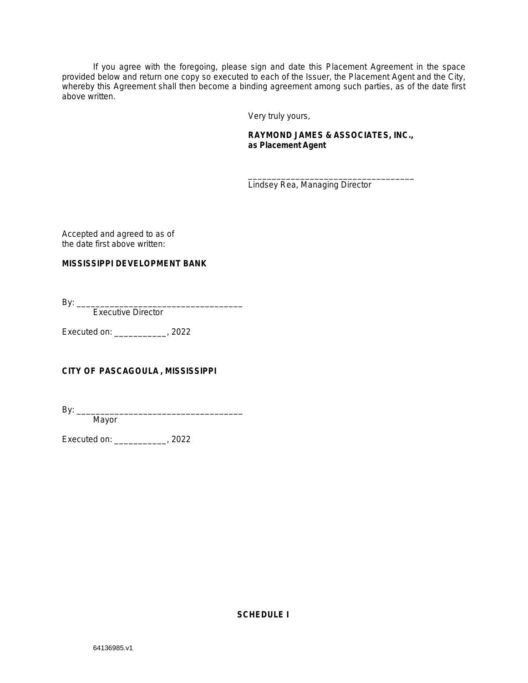If you agree with the foregoing, please sign and date this Placement Agreement in the space provided below and return one copy so executed to each of the Issuer, the Placement Agent and the City, whereby this Agreement shall then become a binding agreement among such parties, as of the date first above written.

Very truly yours,

## **RAYMOND JAMES & ASSOCIATES, INC., as Placement Agent**

\_\_\_\_\_\_\_\_\_\_\_\_\_\_\_\_\_\_\_\_\_\_\_\_\_\_\_\_\_\_\_\_\_\_\_ Lindsey Rea, Managing Director

Accepted and agreed to as of the date first above written:

## **MISSISSIPPI DEVELOPMENT BANK**

By: \_\_\_\_\_\_\_\_\_\_\_\_\_\_\_\_\_\_\_\_\_\_\_\_\_\_\_\_\_\_\_\_\_\_\_

Executive Director

Executed on: \_\_\_\_\_\_\_\_\_\_\_, 2022

# **CITY OF PASCAGOULA , MISSISSIPPI**

By: \_\_\_\_\_\_\_\_\_\_\_\_\_\_\_\_\_\_\_\_\_\_\_\_\_\_\_\_\_\_\_\_\_\_\_

Mayor

Executed on: \_\_\_\_\_\_\_\_\_\_\_, 2022

**SCHEDULE I**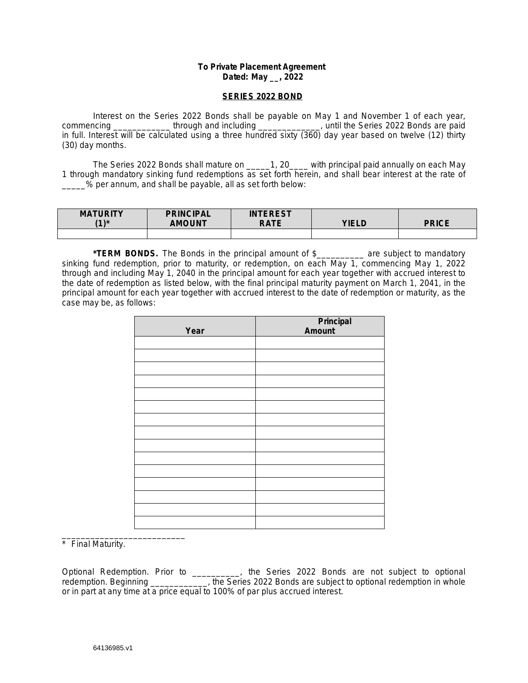## **To Private Placement Agreement Dated: May \_\_, 2022**

### **SERIES 2022 BOND**

Interest on the Series 2022 Bonds shall be payable on May 1 and November 1 of each year, commencing \_\_\_\_\_\_\_\_\_\_\_\_\_\_ through and including \_\_\_\_\_\_\_\_\_\_\_\_\_\_, until the Series 2022 Bonds are paid in full. Interest will be calculated using a three hundred sixty (360) day year based on twelve (12) thirty (30) day months.

The Series 2022 Bonds shall mature on \_\_\_\_\_1, 20\_\_\_\_ with principal paid annually on each May 1 through mandatory sinking fund redemptions as set forth herein, and shall bear interest at the rate of \_\_\_\_\_% per annum, and shall be payable, all as set forth below:

| <b>MATURITY</b><br>$11*$ | <b>PRINCIPAL</b><br><b>AMOUNT</b> | <b>INTEREST</b><br><b>RATE</b> | VIFI N | DDICE |
|--------------------------|-----------------------------------|--------------------------------|--------|-------|
|                          |                                   |                                |        |       |

**\*TERM BONDS.** The Bonds in the principal amount of \$\_\_\_\_\_\_\_\_\_\_ are subject to mandatory sinking fund redemption, prior to maturity, or redemption, on each May 1, commencing May 1, 2022 through and including May 1, 2040 in the principal amount for each year together with accrued interest to the date of redemption as listed below, with the final principal maturity payment on March 1, 2041, in the principal amount for each year together with accrued interest to the date of redemption or maturity, as the case may be, as follows:

| Year | <b>Principal</b><br>Amount |
|------|----------------------------|
|      |                            |
|      |                            |
|      |                            |
|      |                            |
|      |                            |
|      |                            |
|      |                            |
|      |                            |
|      |                            |
|      |                            |
|      |                            |
|      |                            |
|      |                            |
|      |                            |
|      |                            |

\_\_\_\_\_\_\_\_\_\_\_\_\_\_\_\_\_\_\_\_\_\_\_\_\_\_ \* Final Maturity.

*Optional Redemption.* Prior to \_\_\_\_\_\_\_\_\_\_, the Series 2022 Bonds are not subject to optional redemption. Beginning \_\_\_\_\_\_\_\_\_\_\_\_, the Series 2022 Bonds are subject to optional redemption in whole or in part at any time at a price equal to 100% of par plus accrued interest.